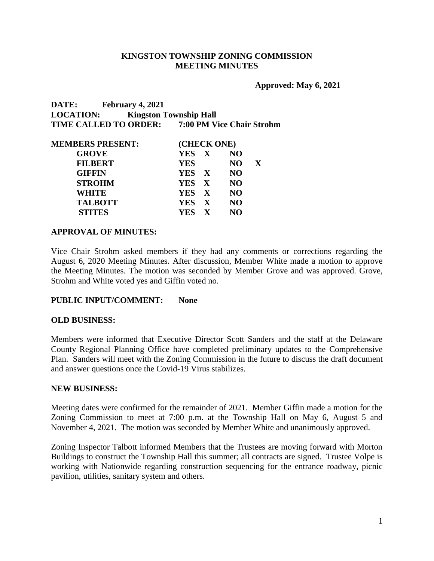#### **KINGSTON TOWNSHIP ZONING COMMISSION MEETING MINUTES**

**Approved: May 6, 2021**

**DATE: February 4, 2021 LOCATION: Kingston Township Hall TIME CALLED TO ORDER: 7:00 PM Vice Chair Strohm**

| <b>MEMBERS PRESENT:</b> | (CHECK ONE) |                |             |  |
|-------------------------|-------------|----------------|-------------|--|
| <b>GROVE</b>            | YES X       | N <sub>O</sub> |             |  |
| <b>FILBERT</b>          | <b>YES</b>  | NO.            | $\mathbf X$ |  |
| <b>GIFFIN</b>           | YES X       | <b>NO</b>      |             |  |
| <b>STROHM</b>           | YES X       | <b>NO</b>      |             |  |
| <b>WHITE</b>            | YES X       | <b>NO</b>      |             |  |
| <b>TALBOTT</b>          | YES X       | N <sub>O</sub> |             |  |
| <b>STITES</b>           | YES X       | NO             |             |  |

#### **APPROVAL OF MINUTES:**

Vice Chair Strohm asked members if they had any comments or corrections regarding the August 6, 2020 Meeting Minutes. After discussion, Member White made a motion to approve the Meeting Minutes. The motion was seconded by Member Grove and was approved. Grove, Strohm and White voted yes and Giffin voted no.

#### **PUBLIC INPUT/COMMENT: None**

#### **OLD BUSINESS:**

Members were informed that Executive Director Scott Sanders and the staff at the Delaware County Regional Planning Office have completed preliminary updates to the Comprehensive Plan. Sanders will meet with the Zoning Commission in the future to discuss the draft document and answer questions once the Covid-19 Virus stabilizes.

#### **NEW BUSINESS:**

Meeting dates were confirmed for the remainder of 2021. Member Giffin made a motion for the Zoning Commission to meet at 7:00 p.m. at the Township Hall on May 6, August 5 and November 4, 2021. The motion was seconded by Member White and unanimously approved.

Zoning Inspector Talbott informed Members that the Trustees are moving forward with Morton Buildings to construct the Township Hall this summer; all contracts are signed. Trustee Volpe is working with Nationwide regarding construction sequencing for the entrance roadway, picnic pavilion, utilities, sanitary system and others.